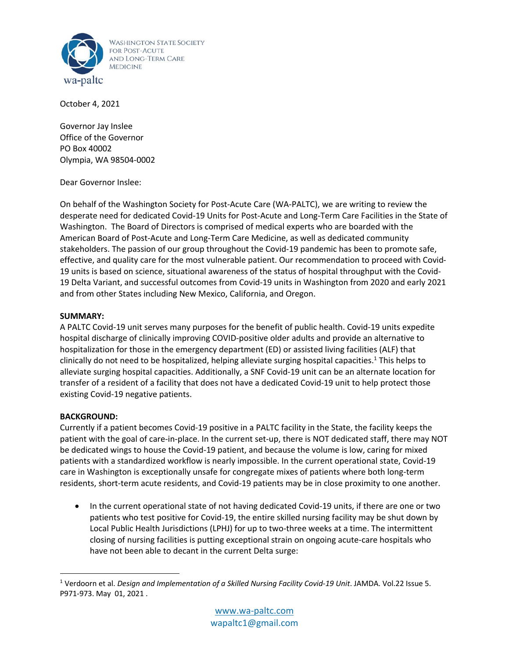

October 4, 2021

Governor Jay Inslee Office of the Governor PO Box 40002 Olympia, WA 98504-0002

Dear Governor Inslee:

On behalf of the Washington Society for Post-Acute Care (WA-PALTC), we are writing to review the desperate need for dedicated Covid-19 Units for Post-Acute and Long-Term Care Facilities in the State of Washington. The Board of Directors is comprised of medical experts who are boarded with the American Board of Post-Acute and Long-Term Care Medicine, as well as dedicated community stakeholders. The passion of our group throughout the Covid-19 pandemic has been to promote safe, effective, and quality care for the most vulnerable patient. Our recommendation to proceed with Covid-19 units is based on science, situational awareness of the status of hospital throughput with the Covid-19 Delta Variant, and successful outcomes from Covid-19 units in Washington from 2020 and early 2021 and from other States including New Mexico, California, and Oregon.

## **SUMMARY:**

A PALTC Covid-19 unit serves many purposes for the benefit of public health. Covid-19 units expedite hospital discharge of clinically improving COVID-positive older adults and provide an alternative to hospitalization for those in the emergency department (ED) or assisted living facilities (ALF) that clinically do not need to be hospitalized, helping alleviate surging hospital capacities. <sup>1</sup> This helps to alleviate surging hospital capacities. Additionally, a SNF Covid-19 unit can be an alternate location for transfer of a resident of a facility that does not have a dedicated Covid-19 unit to help protect those existing Covid-19 negative patients.

## **BACKGROUND:**

Currently if a patient becomes Covid-19 positive in a PALTC facility in the State, the facility keeps the patient with the goal of care-in-place. In the current set-up, there is NOT dedicated staff, there may NOT be dedicated wings to house the Covid-19 patient, and because the volume is low, caring for mixed patients with a standardized workflow is nearly impossible. In the current operational state, Covid-19 care in Washington is exceptionally unsafe for congregate mixes of patients where both long-term residents, short-term acute residents, and Covid-19 patients may be in close proximity to one another.

• In the current operational state of not having dedicated Covid-19 units, if there are one or two patients who test positive for Covid-19, the entire skilled nursing facility may be shut down by Local Public Health Jurisdictions (LPHJ) for up to two-three weeks at a time. The intermittent closing of nursing facilities is putting exceptional strain on ongoing acute-care hospitals who have not been able to decant in the current Delta surge:

<sup>1</sup> Verdoorn et al. *Design and Implementation of a Skilled Nursing Facility Covid-19 Unit*. JAMDA. Vol.22 Issue 5. P971-973. May 01, 2021 .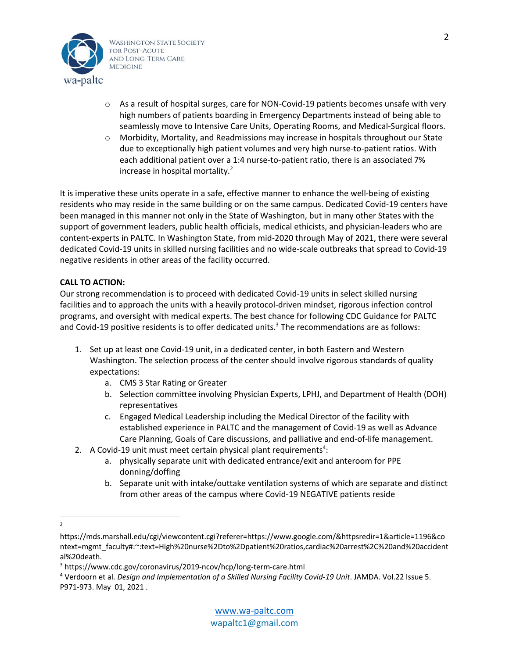

- o As a result of hospital surges, care for NON-Covid-19 patients becomes unsafe with very high numbers of patients boarding in Emergency Departments instead of being able to seamlessly move to Intensive Care Units, Operating Rooms, and Medical-Surgical floors.
- $\circ$  Morbidity, Mortality, and Readmissions may increase in hospitals throughout our State due to exceptionally high patient volumes and very high nurse-to-patient ratios. With each additional patient over a 1:4 nurse-to-patient ratio, there is an associated 7% increase in hospital mortality. $<sup>2</sup>$ </sup>

It is imperative these units operate in a safe, effective manner to enhance the well-being of existing residents who may reside in the same building or on the same campus. Dedicated Covid-19 centers have been managed in this manner not only in the State of Washington, but in many other States with the support of government leaders, public health officials, medical ethicists, and physician-leaders who are content-experts in PALTC. In Washington State, from mid-2020 through May of 2021, there were several dedicated Covid-19 units in skilled nursing facilities and no wide-scale outbreaks that spread to Covid-19 negative residents in other areas of the facility occurred.

## **CALL TO ACTION:**

Our strong recommendation is to proceed with dedicated Covid-19 units in select skilled nursing facilities and to approach the units with a heavily protocol-driven mindset, rigorous infection control programs, and oversight with medical experts. The best chance for following CDC Guidance for PALTC and Covid-19 positive residents is to offer dedicated units.<sup>3</sup> The recommendations are as follows:

- 1. Set up at least one Covid-19 unit, in a dedicated center, in both Eastern and Western Washington. The selection process of the center should involve rigorous standards of quality expectations:
	- a. CMS 3 Star Rating or Greater
	- b. Selection committee involving Physician Experts, LPHJ, and Department of Health (DOH) representatives
	- c. Engaged Medical Leadership including the Medical Director of the facility with established experience in PALTC and the management of Covid-19 as well as Advance Care Planning, Goals of Care discussions, and palliative and end-of-life management.
- 2. A Covid-19 unit must meet certain physical plant requirements<sup>4</sup>:
	- a. physically separate unit with dedicated entrance/exit and anteroom for PPE donning/doffing
	- b. Separate unit with intake/outtake ventilation systems of which are separate and distinct from other areas of the campus where Covid-19 NEGATIVE patients reside
- $\overline{2}$

https://mds.marshall.edu/cgi/viewcontent.cgi?referer=https://www.google.com/&httpsredir=1&article=1196&co ntext=mgmt\_faculty#:~:text=High%20nurse%2Dto%2Dpatient%20ratios,cardiac%20arrest%2C%20and%20accident al%20death.

<sup>3</sup> https://www.cdc.gov/coronavirus/2019-ncov/hcp/long-term-care.html

<sup>4</sup> Verdoorn et al. *Design and Implementation of a Skilled Nursing Facility Covid-19 Unit*. JAMDA. Vol.22 Issue 5. P971-973. May 01, 2021 .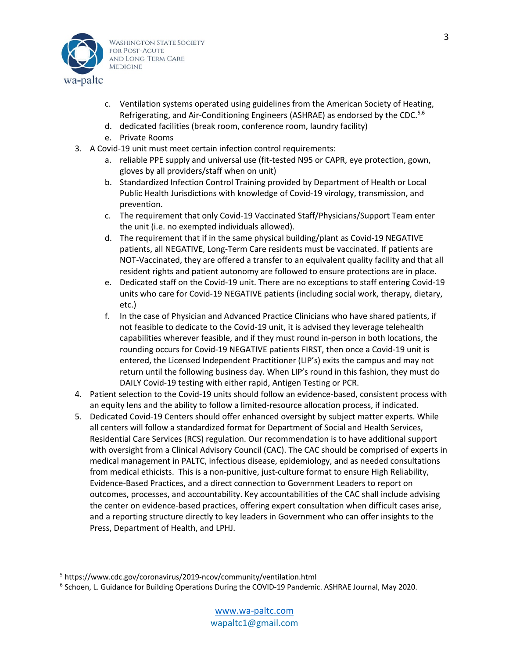

- c. Ventilation systems operated using guidelines from the American Society of Heating, Refrigerating, and Air-Conditioning Engineers (ASHRAE) as endorsed by the CDC.<sup>5,6</sup>
- d. dedicated facilities (break room, conference room, laundry facility)
- e. Private Rooms
- 3. A Covid-19 unit must meet certain infection control requirements:
	- a. reliable PPE supply and universal use (fit-tested N95 or CAPR, eye protection, gown, gloves by all providers/staff when on unit)
	- b. Standardized Infection Control Training provided by Department of Health or Local Public Health Jurisdictions with knowledge of Covid-19 virology, transmission, and prevention.
	- c. The requirement that only Covid-19 Vaccinated Staff/Physicians/Support Team enter the unit (i.e. no exempted individuals allowed).
	- d. The requirement that if in the same physical building/plant as Covid-19 NEGATIVE patients, all NEGATIVE, Long-Term Care residents must be vaccinated. If patients are NOT-Vaccinated, they are offered a transfer to an equivalent quality facility and that all resident rights and patient autonomy are followed to ensure protections are in place.
	- e. Dedicated staff on the Covid-19 unit. There are no exceptions to staff entering Covid-19 units who care for Covid-19 NEGATIVE patients (including social work, therapy, dietary, etc.)
	- f. In the case of Physician and Advanced Practice Clinicians who have shared patients, if not feasible to dedicate to the Covid-19 unit, it is advised they leverage telehealth capabilities wherever feasible, and if they must round in-person in both locations, the rounding occurs for Covid-19 NEGATIVE patients FIRST, then once a Covid-19 unit is entered, the Licensed Independent Practitioner (LIP's) exits the campus and may not return until the following business day. When LIP's round in this fashion, they must do DAILY Covid-19 testing with either rapid, Antigen Testing or PCR.
- 4. Patient selection to the Covid-19 units should follow an evidence-based, consistent process with an equity lens and the ability to follow a limited-resource allocation process, if indicated.
- 5. Dedicated Covid-19 Centers should offer enhanced oversight by subject matter experts. While all centers will follow a standardized format for Department of Social and Health Services, Residential Care Services (RCS) regulation. Our recommendation is to have additional support with oversight from a Clinical Advisory Council (CAC). The CAC should be comprised of experts in medical management in PALTC, infectious disease, epidemiology, and as needed consultations from medical ethicists. This is a non-punitive, just-culture format to ensure High Reliability, Evidence-Based Practices, and a direct connection to Government Leaders to report on outcomes, processes, and accountability. Key accountabilities of the CAC shall include advising the center on evidence-based practices, offering expert consultation when difficult cases arise, and a reporting structure directly to key leaders in Government who can offer insights to the Press, Department of Health, and LPHJ.

<sup>5</sup> https://www.cdc.gov/coronavirus/2019-ncov/community/ventilation.html

<sup>6</sup> Schoen, L. Guidance for Building Operations During the COVID-19 Pandemic. ASHRAE Journal, May 2020.